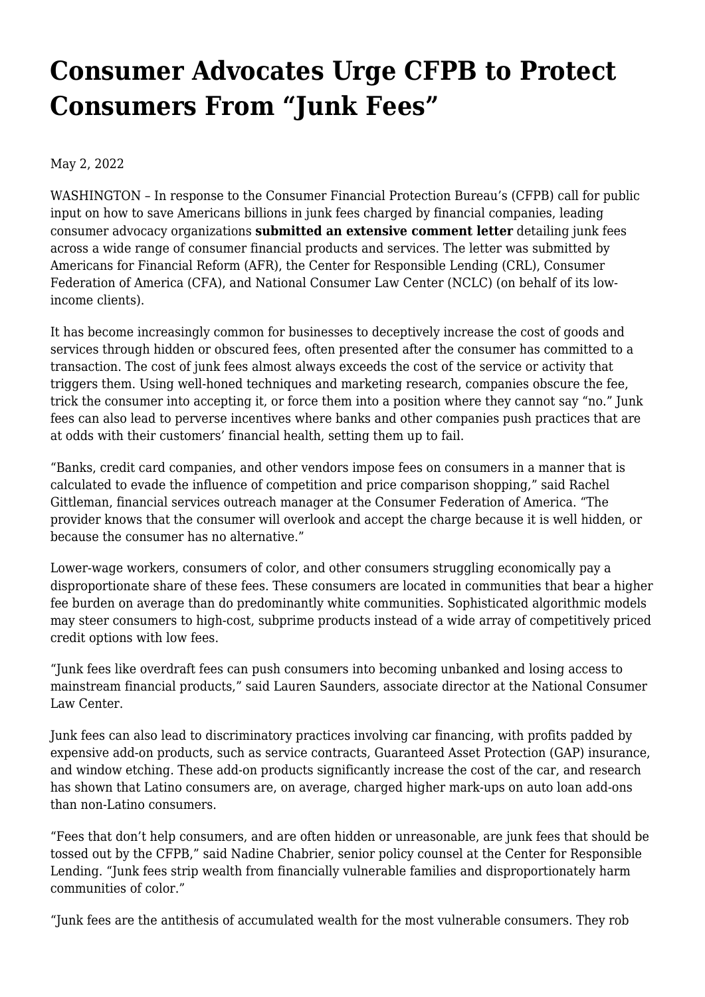## **[Consumer Advocates Urge CFPB to Protect](https://www.nclc.org/media-center/consumer-advocates-urge-cfpb-to-protect-consumers-from-junk-fees.html) [Consumers From "Junk Fees"](https://www.nclc.org/media-center/consumer-advocates-urge-cfpb-to-protect-consumers-from-junk-fees.html)**

May 2, 2022

WASHINGTON – In response to the Consumer Financial Protection Bureau's (CFPB) call for public input on how to save Americans billions in junk fees charged by financial companies, leading consumer advocacy organizations **[submitted an extensive comment letter](https://bit.ly/junk-fee-cmt)** detailing junk fees across a wide range of consumer financial products and services. The letter was submitted by Americans for Financial Reform (AFR), the Center for Responsible Lending (CRL), Consumer Federation of America (CFA), and National Consumer Law Center (NCLC) (on behalf of its lowincome clients).

It has become increasingly common for businesses to deceptively increase the cost of goods and services through hidden or obscured fees, often presented after the consumer has committed to a transaction. The cost of junk fees almost always exceeds the cost of the service or activity that triggers them. Using well-honed techniques and marketing research, companies obscure the fee, trick the consumer into accepting it, or force them into a position where they cannot say "no." Junk fees can also lead to perverse incentives where banks and other companies push practices that are at odds with their customers' financial health, setting them up to fail.

"Banks, credit card companies, and other vendors impose fees on consumers in a manner that is calculated to evade the influence of competition and price comparison shopping," said Rachel Gittleman, financial services outreach manager at the Consumer Federation of America. "The provider knows that the consumer will overlook and accept the charge because it is well hidden, or because the consumer has no alternative."

Lower-wage workers, consumers of color, and other consumers struggling economically [pay a](https://www.bankrate.com/pdfs/pr/20200115-best-banks-survey.pdf) [disproportionate share of these fees](https://www.bankrate.com/pdfs/pr/20200115-best-banks-survey.pdf). These consumers are located in communities that [bear a higher](https://docs.house.gov/Committee/Calendar/ByEvent.aspx?EventID=114574) [fee burden on average](https://docs.house.gov/Committee/Calendar/ByEvent.aspx?EventID=114574) than do predominantly white communities. Sophisticated algorithmic models may [steer consumers to high-cost, subprime products](https://consumercomplianceoutlook.org/2019/third-issue/from-catalogs-to-clicks-the-fair-lending-implications-of-targeted-internet-marketing/) instead of a wide array of competitively priced credit options with low fees.

"Junk fees like overdraft fees can push consumers into becoming unbanked and losing access to mainstream financial products," said Lauren Saunders, associate director at the National Consumer Law Center.

Junk fees can also lead to discriminatory practices involving car financing, with profits padded by expensive add-on products, such as service contracts, Guaranteed Asset Protection (GAP) insurance, and window etching. These add-on products significantly increase the cost of the car, and research has shown that Latino consumers are, on average, [charged higher mark-ups](https://www.nclc.org/issues/auto-add-ons-add-up.html) on auto loan add-ons than non-Latino consumers.

"Fees that don't help consumers, and are often hidden or unreasonable, are junk fees that should be tossed out by the CFPB," said Nadine Chabrier, senior policy counsel at the Center for Responsible Lending. "Junk fees strip wealth from financially vulnerable families and disproportionately harm communities of color."

"Junk fees are the antithesis of accumulated wealth for the most vulnerable consumers. They rob